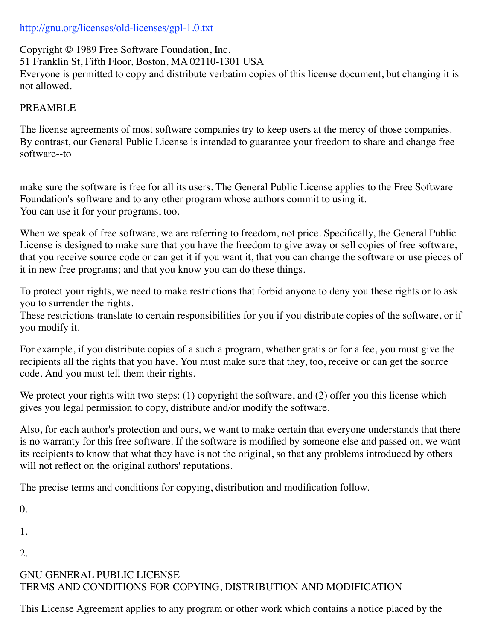## http://gnu.org/licenses/old-licenses/gpl-1.0.txt

Copyright © 1989 Free Software Foundation, Inc. 51 Franklin St, Fifth Floor, Boston, MA 02110-1301 USA Everyone is permitted to copy and distribute verbatim copies of this license document, but changing it is not allowed.

## PREAMBLE

The license agreements of most software companies try to keep users at the mercy of those companies. By contrast, our General Public License is intended to guarantee your freedom to share and change free software--to

make sure the software is free for all its users. The General Public License applies to the Free Software Foundation's software and to any other program whose authors commit to using it. You can use it for your programs, too.

When we speak of free software, we are referring to freedom, not price. Specifically, the General Public License is designed to make sure that you have the freedom to give away or sell copies of free software, that you receive source code or can get it if you want it, that you can change the software or use pieces of it in new free programs; and that you know you can do these things.

To protect your rights, we need to make restrictions that forbid anyone to deny you these rights or to ask you to surrender the rights.

These restrictions translate to certain responsibilities for you if you distribute copies of the software, or if you modify it.

For example, if you distribute copies of a such a program, whether gratis or for a fee, you must give the recipients all the rights that you have. You must make sure that they, too, receive or can get the source code. And you must tell them their rights.

We protect your rights with two steps: (1) copyright the software, and (2) offer you this license which gives you legal permission to copy, distribute and/or modify the software.

Also, for each author's protection and ours, we want to make certain that everyone understands that there is no warranty for this free software. If the software is modified by someone else and passed on, we want its recipients to know that what they have is not the original, so that any problems introduced by others will not reflect on the original authors' reputations.

The precise terms and conditions for copying, distribution and modification follow.

 $\theta$ .

1.

2.

## GNU GENERAL PUBLIC LICENSE TERMS AND CONDITIONS FOR COPYING, DISTRIBUTION AND MODIFICATION

This License Agreement applies to any program or other work which contains a notice placed by the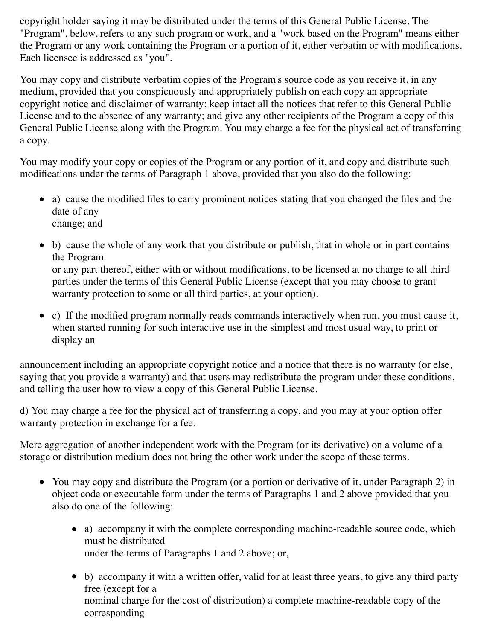copyright holder saying it may be distributed under the terms of this General Public License. The "Program", below, refers to any such program or work, and a "work based on the Program" means either the Program or any work containing the Program or a portion of it, either verbatim or with modifications. Each licensee is addressed as "you".

You may copy and distribute verbatim copies of the Program's source code as you receive it, in any medium, provided that you conspicuously and appropriately publish on each copy an appropriate copyright notice and disclaimer of warranty; keep intact all the notices that refer to this General Public License and to the absence of any warranty; and give any other recipients of the Program a copy of this General Public License along with the Program. You may charge a fee for the physical act of transferring a copy.

You may modify your copy or copies of the Program or any portion of it, and copy and distribute such modifications under the terms of Paragraph 1 above, provided that you also do the following:

- a) cause the modified files to carry prominent notices stating that you changed the files and the date of any change; and
- b) cause the whole of any work that you distribute or publish, that in whole or in part contains the Program or any part thereof, either with or without modifications, to be licensed at no charge to all third parties under the terms of this General Public License (except that you may choose to grant warranty protection to some or all third parties, at your option).
- c) If the modified program normally reads commands interactively when run, you must cause it, when started running for such interactive use in the simplest and most usual way, to print or display an

announcement including an appropriate copyright notice and a notice that there is no warranty (or else, saying that you provide a warranty) and that users may redistribute the program under these conditions, and telling the user how to view a copy of this General Public License.

d) You may charge a fee for the physical act of transferring a copy, and you may at your option offer warranty protection in exchange for a fee.

Mere aggregation of another independent work with the Program (or its derivative) on a volume of a storage or distribution medium does not bring the other work under the scope of these terms.

- You may copy and distribute the Program (or a portion or derivative of it, under Paragraph 2) in object code or executable form under the terms of Paragraphs 1 and 2 above provided that you also do one of the following:
	- a) accompany it with the complete corresponding machine-readable source code, which must be distributed under the terms of Paragraphs 1 and 2 above; or,
	- b) accompany it with a written offer, valid for at least three years, to give any third party free (except for a nominal charge for the cost of distribution) a complete machine-readable copy of the corresponding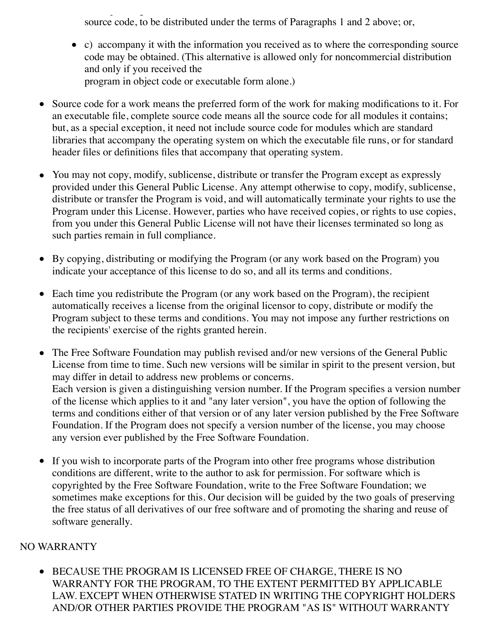corresponding source code, to be distributed under the terms of Paragraphs 1 and 2 above; or,

- c) accompany it with the information you received as to where the corresponding source code may be obtained. (This alternative is allowed only for noncommercial distribution and only if you received the program in object code or executable form alone.)
- Source code for a work means the preferred form of the work for making modifications to it. For an executable file, complete source code means all the source code for all modules it contains; but, as a special exception, it need not include source code for modules which are standard libraries that accompany the operating system on which the executable file runs, or for standard header files or definitions files that accompany that operating system.
- You may not copy, modify, sublicense, distribute or transfer the Program except as expressly provided under this General Public License. Any attempt otherwise to copy, modify, sublicense, distribute or transfer the Program is void, and will automatically terminate your rights to use the Program under this License. However, parties who have received copies, or rights to use copies, from you under this General Public License will not have their licenses terminated so long as such parties remain in full compliance.
- By copying, distributing or modifying the Program (or any work based on the Program) you indicate your acceptance of this license to do so, and all its terms and conditions.
- Each time you redistribute the Program (or any work based on the Program), the recipient automatically receives a license from the original licensor to copy, distribute or modify the Program subject to these terms and conditions. You may not impose any further restrictions on the recipients' exercise of the rights granted herein.
- The Free Software Foundation may publish revised and/or new versions of the General Public License from time to time. Such new versions will be similar in spirit to the present version, but may differ in detail to address new problems or concerns. Each version is given a distinguishing version number. If the Program specifies a version number of the license which applies to it and "any later version", you have the option of following the terms and conditions either of that version or of any later version published by the Free Software Foundation. If the Program does not specify a version number of the license, you may choose any version ever published by the Free Software Foundation.
- $\bullet$ If you wish to incorporate parts of the Program into other free programs whose distribution conditions are different, write to the author to ask for permission. For software which is copyrighted by the Free Software Foundation, write to the Free Software Foundation; we sometimes make exceptions for this. Our decision will be guided by the two goals of preserving the free status of all derivatives of our free software and of promoting the sharing and reuse of software generally.

## NO WARRANTY

BECAUSE THE PROGRAM IS LICENSED FREE OF CHARGE, THERE IS NO WARRANTY FOR THE PROGRAM, TO THE EXTENT PERMITTED BY APPLICABLE LAW. EXCEPT WHEN OTHERWISE STATED IN WRITING THE COPYRIGHT HOLDERS AND/OR OTHER PARTIES PROVIDE THE PROGRAM "AS IS" WITHOUT WARRANTY